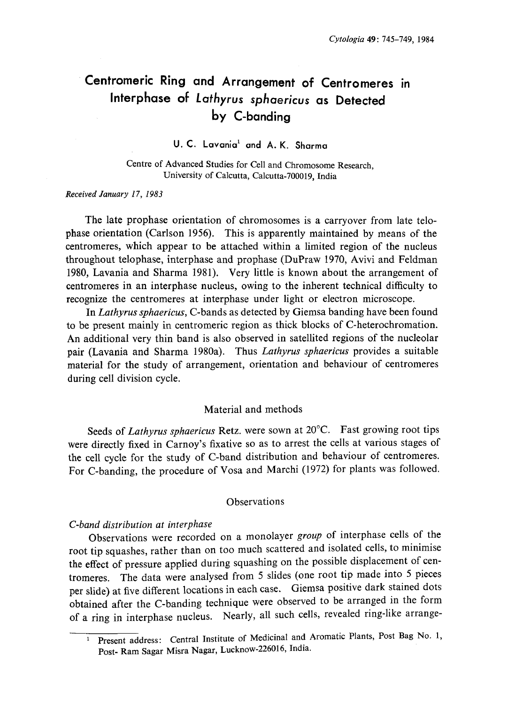# Centromeric Ring and Arrangement of Centromeres in Interphase of Lathyrus sphaericus as Detected by C-banding

U. C. Lavania<sup>1</sup> and A. K. Sharma

Centre of Advanced Studies for Cell and Chromosome Research , University of Calcutta, Calcutta-700019, India

## Received January 17, 1983

The late prophase orientation of chromosomes is a carryover from late telo phase orientation (Carlson 1956). This is apparently maintained by means of the centromeres, which appear to be attached within a limited region of the nucleus throughout telophase, interphase and prophase (DuPraw 1970, Avivi and Feldman 1980, Lavania and Sharma 1981). Very little is known about the arrangement of centromeres in an interphase nucleus, owing to the inherent technical difficulty to recognize the centromeres at interphase under light or electron microscope.

In Lathyrus sphaericus, C-bands as detected by Giemsa banding have been found to be present mainly in centromeric region as thick blocks of C-heterochromation. An additional very thin band is also observed in satellited regions of the nucleolar pair (Lavania and Sharma 1980a). Thus Lathyrus sphaericus provides a suitable material for the study of arrangement, orientation and behaviour of centromeres during cell division cycle.

#### Material and methods

Seeds of Lathyrus sphaericus Retz. were sown at 20°C. Fast growing root tips were directly fixed in Carnoy's fixative so as to arrest the cells at various stages of the cell cycle for the study of C-band distribution and behaviour of centromeres. For C-banding, the procedure of Vosa and Marchi (1972) for plants was followed.

# Observations

#### C-band distribution at interphase

Observations were recorded on a monolayer group of interphase cells of the root tip squashes, rather than on too much scattered and isolated cells, to minimise the effect of pressure applied during squashing on the possible displacement of cen tromeres. The data were analysed from 5 slides (one root tip made into 5 pieces per slide) at five different locations in each case. Giemsa positive dark stained dots obtained after the C-banding technique were observed to be arranged in the form of a ring in interphase nucleus. Nearly, all such cells, revealed ring-like arrange

<sup>&</sup>lt;sup>1</sup> Present address: Central Institute of Medicinal and Aromatic Plants, Post Bag No. 1, Post- Ram Sagar Misra Nagar, Lucknow-226016, India.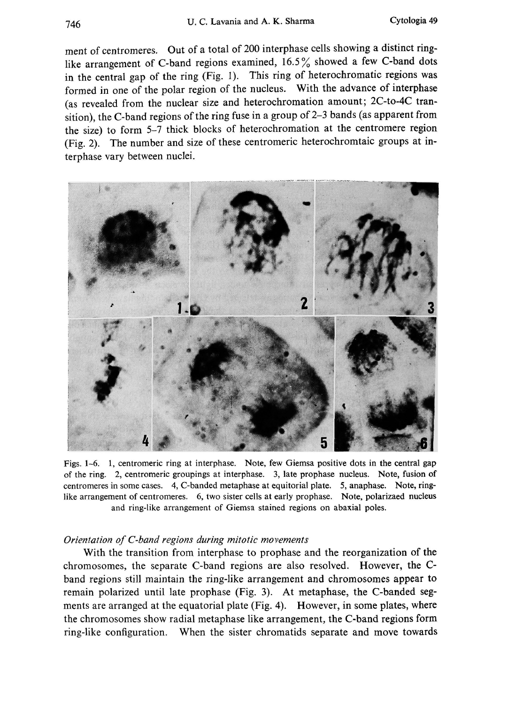ment of centromeres. Out of a total of 200 interphase cells showing a distinct ring like arrangement of C-band regions examined, 16.5% showed a few C-band dots in the central gap of the ring (Fig. 1). This ring of heterochromatic regions was formed in one of the polar region of the nucleus. With the advance of interphase (as revealed from the nuclear size and heterochromation amount; 2C-to-4C tran sition), the C-band regions of the ring fuse in a group of 2-3 bands (as apparent from the size) to form 5-7 thick blocks of heterochromation at the centromere region (Fig. 2). The number and size of these centromeric heterochromtaic groups at in terphase vary between nuclei.



Figs. 1-6. 1, centromeric ring at interphase. Note, few Giemsa positive dots in the central gap of the ring. 2, centromeric groupings at interphase. 3, late prophase nucleus. Note, fusion of centromeres in some cases. 4, C-banded metaphase at equitorial plate. 5, anaphase. Note, ring like arrangement of centromeres. 6, two sister cells at early prophase. Note, polarizaed nucleus and ring-like arrangement of Giemsa stained regions on abaxial poles.

#### Orientation of C-band regions during mitotic movements

With the transition from interphase to prophase and the reorganization of the chromosomes, the separate C-band regions are also resolved. However, the C band regions still maintain the ring-like arrangement and chromosomes appear to remain polarized until late prophase (Fig. 3). At metaphase, the C-banded seg ments are arranged at the equatorial plate (Fig. 4). However, in some plates, where the chromosomes show radial metaphase like arrangement, the C-band regions form ring-like configuration. When the sister chromatids separate and move towards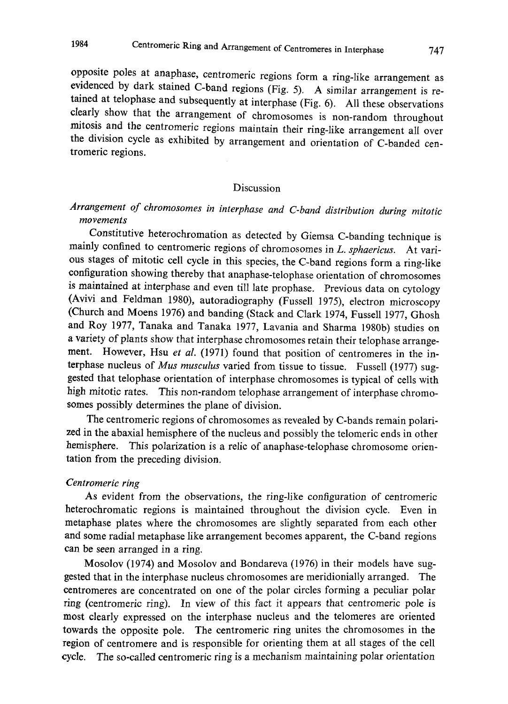opposite poles at anaphase, centromeric regions form a ring-like arrangement as evidenced by dark stained C-band regions (Fig. 5). A similar arrangement is re tained at telophase and subsequently at interphase (Fig. 6). All these observations clearly show that the arrangement of chromosomes is non-random throughout mitosis and the centromeric regions maintain their ring-like arrangement all over the division cycle as exhibited by arrangement and orientation of C-banded cen tromeric regions.

#### Discussion

# Arrangement of chromosomes in interphase and C-band distribution during mitotic movements

Constitutive heterochromation as detected by Giemsa C-banding technique is mainly confined to centromeric regions of chromosomes in L. sphaericus. At various stages of mitotic cell cycle in this species , the C-band regions form a ring-like configuration showing thereby that anaphase-telophase orientation of chromosomes is maintained at interphase and even till late prophase. Previous data on cytology (Avivi and Feldman 1980), autoradiography (Fussell 1975), electron microscopy (Church and Moens 1976) and banding (Stack and Clark 1974, Fussell 1977, Ghosh and Roy 1977, Tanaka and Tanaka 1977, Lavania and Sharma 1980b) studies on a variety of plants show that interphase chromosomes retain their telophase arrange ment. However, Hsu et al. (1971) found that position of centromeres in the interphase nucleus of Mus musculus varied from tissue to tissue. Fussell (1977) suggested that telophase orientation of interphase chromosomes is typical of cells with high mitotic rates. This non-random telophase arrangement of interphase chromo somes possibly determines the plane of division.

The centromeric regions of chromosomes as revealed by C-bands remain polari zed in the abaxial hemisphere of the nucleus and possibly the telomeric ends in other hemisphere. This polarization is a relic of anaphase-telophase chromosome orien tation from the preceding division.

# Centromeric ring

As evident from the observations, the ring-like configuration of centromeric heterochromatic regions is maintained throughout the division cycle. Even in metaphase plates where the chromosomes are slightly separated from each other and some radial metaphase like arrangement becomes apparent, the C-band regions can be seen arranged in a ring.

Mosolov (1974) and Mosolov and Bondareva (1976) in their models have sug gested that in the interphase nucleus chromosomes are meridionially arranged. The centromeres are concentrated on one of the polar circles forming a peculiar polar ring (centromeric ring). In view of this fact it appears that centromeric pole is most clearly expressed on the interphase nucleus and the telomeres are oriented towards the opposite pole. The centromeric ring unites the chromosomes in the region of centromere and is responsible for orienting them at all stages of the cell cycle. The so-called centromeric ring is a mechanism maintaining polar orientation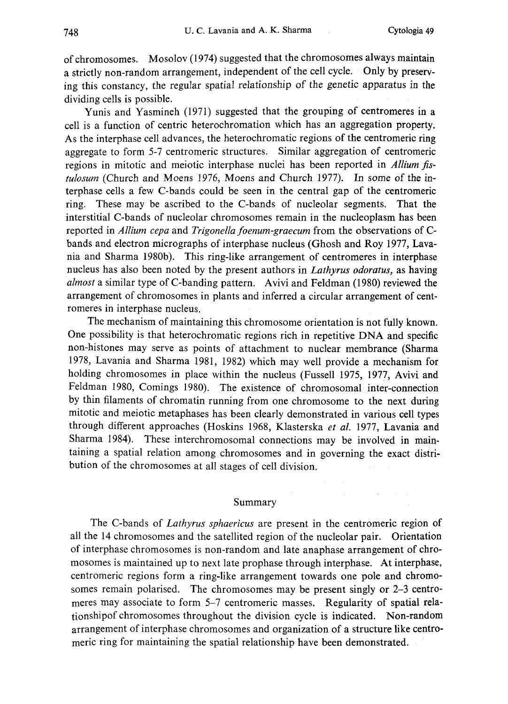of chromosomes. Mosolov (1974) suggested that the chromosomes always maintain a strictly non-random arrangement, independent of the cell cycle. Only by preserv ing this constancy, the regular spatial relationship of the genetic apparatus in the dividing cells is possible.

Yunis and Yasmineh (1971) suggested that the grouping of centromeres in a cell is a function of centric heterochromation which has an aggregation property. As the interphase cell advances, the heterochromatic regions of the centromeric ring aggregate to form 5-7 centromeric structures. Similar aggregation of centromeric regions in mitotic and meiotic interphase nuclei has been reported in Allium fistulosum (Church and Moens 1976, Moens and Church 1977). In some of the in terphase cells a few C-bands could be seen in the central gap of the centromeric ring. These may be ascribed to the C-bands of nucleolar segments. That the interstitial C-bands of nucleolar chromosomes remain in the nucleoplasm has been reported in Allium cepa and Trigonella foenum-graecum from the observations of C bands and electron micrographs of interphase nucleus (Ghosh and Roy 1977, Lava nia and Sharma 1980b). This ring-like arrangement of centromeres in interphase nucleus has also been noted by the present authors in Lathyrus odoratus, as having almost a similar type of C-banding pattern. Avivi and Feldman (1980) reviewed the arrangement of chromosomes in plants and inferred a circular arrangement of cent romeres in interphase nucleus.

The mechanism of maintaining this chromosome orientation is not fully known. One possibility is that heterochromatic regions rich in repetitive DNA and specific non-histones may serve as points of attachment to nuclear membrance (Sharma 1978, Lavania and Sharma 1981, 1982) which may well provide a mechanism for holding chromosomes in place within the nucleus (Fussell 1975, 1977, Avivi and Feldman 1980, Comings 1980). The existence of chromosomal inter-connection by thin filaments of chromatin running from one chromosome to the next during mitotic and meiotic metaphases has been clearly demonstrated in various cell types through different approaches (Hoskins 1968, Klasterska et al. 1977, Lavania and Sharma 1984). These interchromosomal connections may be involved in main taining a spatial relation among chromosomes and in governing the exact distri bution of the chromosomes at all stages of cell division.

#### Summary

The C-bands of Lathyrus sphaericus are present in the centromeric region of all the 14 chromosomes and the satellited region of the nucleolar pair. Orientation of interphase chromosomes is non-random and late anaphase arrangement of chro mosomes is maintained up to next late prophase through interphase. At interphase, centromeric regions form a ring-like arrangement towards one pole and chromo somes remain polarised. The chromosomes may be present singly or 2-3 centro meres may associate to form 5-7 centromeric masses. Regularity of spatial rela tionshipof chromosomes throughout the division cycle is indicated. Non-random arrangement of interphase chromosomes and organization of a structure like centro meric ring for maintaining the spatial relationship have been demonstrated.